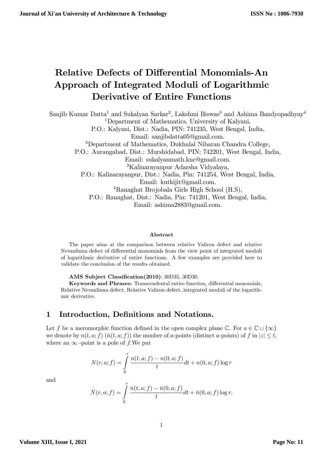# Relative Defects of Differential Monomials-An Approach of Integrated Moduli of Logarithmic Derivative of Entire Functions

Sanjib Kumar Datta<sup>1</sup> and Sukalyan Sarkar<sup>2</sup>, Lakshmi Biswas<sup>3</sup> and Ashima Bandyopadhyay<sup>4</sup> <sup>1</sup>Department of Mathematics, University of Kalyani, P.O.: Kalyani, Dist.: Nadia, PIN: 741235, West Bengal, India, Email: sanjibdatta05@gmail.com. <sup>2</sup>Department of Mathematics, Dukhulal Nibaran Chandra College, P.O.: Aurangabad, Dist.: Murshidabad, PIN: 742201, West Bengal, India, Email: sukalyanmath.knc@gmail.com. <sup>3</sup>Kalinarayanpur Adarsha Vidyalaya, P.O.: Kalinarayanpur, Dist.: Nadia, Pin: 741254, West Bengal, India, Email: kutkijit@gmail.com. <sup>4</sup>Ranaghat Brojobala Girls High School (H.S), P.O.: Ranaghat, Dist.: Nadia, Pin: 741201, West Bengal, India, Email: ashima2883@gmail.com.

#### Abstract

The paper aims at the comparison between relative Valiron defect and relative Nevanlinna defect of differential monomials from the view point of integrated moduli of logarithmic derivative of entire functions. A few examples are provided here to validate the conclusion of the results obtained.

AMS Subject Classification(2010): 30D35, 30D30.

Keywords and Phrases: Transcendental entire function, differential monomials, Relative Nevanlinna defect, Relative Valiron defect, integrated moduli of the logarithmic derivative:

## 1 Introduction, Definitions and Notations.

Let f be a meromorphic function defined in the open complex plane  $\mathbb{C}$ . For  $a \in \mathbb{C} \cup \{\infty\}$ we denote by  $n(t, a; f)$   $(\bar{n}(t, a; f))$  the number of a-points (distinct a-points) of f in  $|z| \leq t$ , where an  $\infty$  -point is a pole of f.We put

$$
N(r, a; f) = \int_{0}^{r} \frac{n(t, a; f) - n(0, a; f)}{t} dt + n(0, a; f) \log r
$$

and

$$
\bar{N}(r, a; f) = \int_{0}^{r} \frac{\bar{n}(t, a; f) - \bar{n}(0, a; f)}{t} dt + \bar{n}(0, a; f) \log r.
$$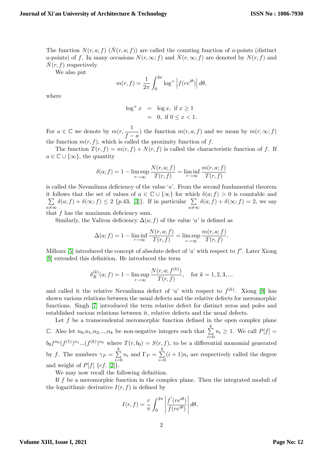The function  $N(r, a; f)$   $(\bar{N}(r, a; f))$  are called the counting function of a-points (distinct a-points) of f. In many occasions  $N(r, \infty; f)$  and  $\overline{N}(r, \infty; f)$  are denoted by  $N(r, f)$  and  $N(r, f)$  respectively.

We also put

$$
m(r, f) = \frac{1}{2\pi} \int_0^{2\pi} \log^+ \left| f(re^{i\theta}) \right| d\theta,
$$

where

$$
\log^+ x = \log x, \text{ if } x \ge 1
$$
  
= 0, if  $0 \le x < 1$ .

For  $a \in \mathbb{C}$  we denote by  $m(r, \frac{1}{f-1})$  $\frac{1}{f-a}$  the function  $m(r, a; f)$  and we mean by  $m(r, \infty; f)$ the function  $m(r, f)$ , which is called the proximity function of f.

The function  $T(r, f) = m(r, f) + N(r, f)$  is called the characteristic function of f. If  $a \in \mathbb{C} \cup \{\infty\}$ , the quantity

$$
\delta(a; f) = 1 - \limsup_{r \to \infty} \frac{N(r, a; f)}{T(r, f)} = \liminf_{r \to \infty} \frac{m(r, a; f)}{T(r, f)}
$$

is called the Nevanlinna deficiency of the value  $a'$ . From the second fundamental theorem it follows that the set of values of  $a \in \mathbb{C} \cup \{\infty\}$  for which  $\delta(a; f) > 0$  is countable and  $\sum$  $a \neq \infty$  $\delta(a; f) + \delta(\infty; f) \leq 2 \{p.43, [3]\}.$  $\delta(a; f) + \delta(\infty; f) \leq 2 \{p.43, [3]\}.$  $\delta(a; f) + \delta(\infty; f) \leq 2 \{p.43, [3]\}.$  If in particular  $\sum_{i=1}^{n}$  $a \neq \infty$  $\delta(a; f) + \delta(\infty; f) = 2$ , we say

that  $f$  has the maximum deficiency sum.

Similarly, the Valiron deficiency  $\Delta(a; f)$  of the value 'a' is defined as

$$
\Delta(a; f) = 1 - \liminf_{r \to \infty} \frac{N(r, a; f)}{T(r, f)} = \limsup_{r \to \infty} \frac{m(r, a; f)}{T(r, f)}.
$$

Milloux [\[5\]](#page-14-1) introduced the concept of absolute defect of 'a' with respect to  $f'$ . Later Xiong [\[9\]](#page-14-2) extended this definition. He introduced the term

$$
\delta_R^{(k)}(a; f) = 1 - \limsup_{r \to \infty} \frac{N(r, a; f^{(k)})}{T(r, f)}, \quad \text{for } k = 1, 2, 3, ...
$$

and called it the relative Nevanlinna defect of 'a' with respect to  $f^{(k)}$ . Xiong [\[9\]](#page-14-2) has shown various relations between the usual defects and the relative defects for meromorphic functions. Singh [\[7\]](#page-14-3) introduced the term relative defect for distinct zeros and poles and established various relations between it, relative defects and the usual defects.

Let  $f$  be a transcendental meromorphic function defined in the open complex plane C. Also let  $n_0, n_1, n_2, \ldots, n_k$  be non-negative integers such that  $\sum_{k=1}^{k}$  $\sum_{i=0} n_i \geq 1$ . We call  $P[f] =$  $b_0 f^{n_0}(f^{(1)})^{n_1} ... (f^{(k)})^{n_k}$  where  $T(r, b_0) = S(r, f)$ , to be a differential monomial generated by f. The numbers  $\gamma_P = \sum^k$  $i=0$  $n_i$  and  $\Gamma_P = \sum^k$  $i=0$  $(i + 1)n_i$  are respectively called the degree and weight of  $P[f]$  {cf. [[2](#page-14-4)]}.

We may now recall the following definition.

If f be a meromorphic function in the complex plane. Then the integrated moduli of the logarithmic derivative  $I(r, f)$  is defined by

$$
I(r, f) = \frac{r}{\pi} \int_0^{2\pi} \left| \frac{f'(re^{i\theta})}{f(re^{i\theta})} \right| d\theta,
$$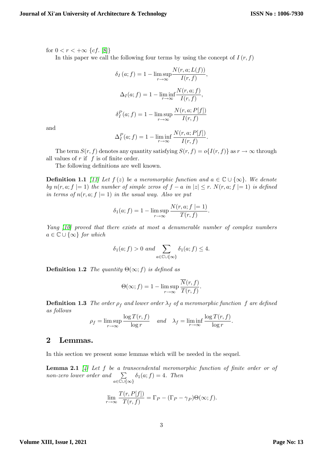for  $0 < r < +\infty$  {cf. [\[8\]](#page-14-5)}

In this paper we call the following four terms by using the concept of  $I(r, f)$ 

$$
\delta_I(a; f) = 1 - \limsup_{r \to \infty} \frac{N(r, a; L(f))}{I(r, f)},
$$

$$
\Delta_I(a; f) = 1 - \liminf_{r \to \infty} \frac{N(r, a; f)}{I(r, f)},
$$

$$
\delta_I^P(a; f) = 1 - \limsup_{r \to \infty} \frac{N(r, a; P[f])}{I(r, f)}
$$

and

$$
\Delta_I^P(a; f) = 1 - \liminf_{r \to \infty} \frac{N(r, a; P[f])}{I(r, f)}.
$$

The term  $S(r, f)$  denotes any quantity satisfying  $S(r, f) = o\{I(r, f)\}\$  as  $r \to \infty$  through all values of  $r$  if  $f$  is of finite order.

The following definitions are well known.

**Definition 1.1** [\[11\]](#page-15-0) Let  $f(z)$  be a meromorphic function and  $a \in \mathbb{C} \cup \{\infty\}$ . We denote by  $n(r, a; f \mid = 1)$  the number of simple zeros of  $f - a$  in  $|z| \le r$ .  $N(r, a; f \mid = 1)$  is defined in terms of  $n(r, a; f \mid = 1)$  in the usual way. Also we put

$$
\delta_1(a; f) = 1 - \limsup_{r \to \infty} \frac{N(r, a; f \mid = 1)}{T(r, f)}
$$
.

Yang [\[10\]](#page-15-1) proved that there exists at most a denumerable number of complex numbers  $a \in \mathbb{C} \cup \{\infty\}$  for which

$$
\delta_1(a; f) > 0
$$
 and  $\sum_{a \in \mathbb{C} \cup \{\infty\}} \delta_1(a; f) \leq 4$ .

**Definition 1.2** The quantity  $\Theta(\infty; f)$  is defined as

$$
\Theta(\infty; f) = 1 - \limsup_{r \to \infty} \frac{\overline{N}(r, f)}{T(r, f)}.
$$

**Definition 1.3** The order  $\rho_f$  and lower order  $\lambda_f$  of a meromorphic function f are defined as follows

$$
\rho_f = \limsup_{r \to \infty} \frac{\log T(r, f)}{\log r} \quad \text{and} \quad \lambda_f = \liminf_{r \to \infty} \frac{\log T(r, f)}{\log r}.
$$

### 2 Lemmas.

<span id="page-2-1"></span>In this section we present some lemmas which will be needed in the sequel.

<span id="page-2-0"></span>**Lemma 2.1** [\[4\]](#page-14-6) Let f be a transcendental meromorphic function of finite order or of non-zero lower order and  $\sum$  $a \in \mathbb{C} \cup \{\infty\}$  $\delta_1(a; f) = 4$ . Then

$$
\lim_{r \to \infty} \frac{T(r, P[f])}{T(r, f)} = \Gamma_P - (\Gamma_P - \gamma_P) \Theta(\infty; f).
$$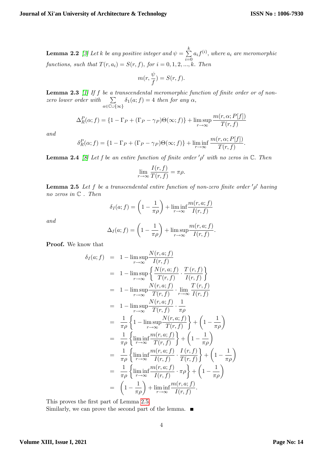**Lemma 2.2** [\[3\]](#page-14-0) Let k be any positive integer and  $\psi = \sum^{k}$  $i=0$  $a_i f^{(i)}$ , where  $a_i$  are meromorphic functions, such that  $T(r, a_i) = S(r, f)$ , for  $i = 0, 1, 2, ..., k$ . Then

$$
m(r,\frac{\psi}{f})=S(r,f).
$$

<span id="page-3-3"></span>**Lemma 2.3** [\[1\]](#page-14-7) If f be a transcendental meromorphic function of finite order or of nonzero lower order with  $\sum$  $a \in \mathbb{C} \cup \{\infty\}$  $\delta_1(a; f) = 4$  then for any  $\alpha$ ,

$$
\Delta_R^P(\alpha; f) = \{1 - \Gamma_P + (\Gamma_P - \gamma_P)\Theta(\infty; f)\} + \limsup_{r \to \infty} \frac{m(r, \alpha; P[f])}{T(r, f)}
$$

and

$$
\delta_R^P(\alpha; f) = \{1 - \Gamma_P + (\Gamma_P - \gamma_P)\Theta(\infty; f)\} + \liminf_{r \to \infty} \frac{m(r, \alpha; P[f])}{T(r, f)}.
$$

<span id="page-3-2"></span>**Lemma 2.4** [\[8\]](#page-14-5) Let f be an entire function of finite order  $'\rho'$  with no zeros in  $\mathbb{C}$ . Then

$$
\lim_{r \to \infty} \frac{I(r, f)}{T(r, f)} = \pi \rho.
$$

<span id="page-3-0"></span>**Lemma 2.5** Let f be a transcendental entire function of non-zero finite order  $'\rho'$  having no zeros in C . Then

$$
\delta_I(a; f) = \left(1 - \frac{1}{\pi \rho}\right) + \liminf_{r \to \infty} \frac{m(r, a; f)}{I(r, f)}
$$

and

$$
\Delta_I(a; f) = \left(1 - \frac{1}{\pi \rho}\right) + \limsup_{r \to \infty} \frac{m(r, a; f)}{I(r, f)}.
$$

Proof. We know that

$$
\delta_{I}(a; f) = 1 - \lim_{r \to \infty} \frac{N(r, a; f)}{I(r, f)}
$$
\n
$$
= 1 - \lim_{r \to \infty} \frac{N(r, a; f)}{I(r, f)} \cdot \frac{T(r, f)}{I(r, f)} \}
$$
\n
$$
= 1 - \lim_{r \to \infty} \frac{N(r, a; f)}{T(r, f)} \cdot \lim_{r \to \infty} \frac{T(r, f)}{I(r, f)}
$$
\n
$$
= 1 - \lim_{r \to \infty} \frac{N(r, a; f)}{T(r, f)} \cdot \frac{1}{\pi \rho}
$$
\n
$$
= \frac{1}{\pi \rho} \left\{ 1 - \lim_{r \to \infty} \frac{N(r, a; f)}{T(r, f)} \right\} + \left( 1 - \frac{1}{\pi \rho} \right)
$$
\n
$$
= \frac{1}{\pi \rho} \left\{ \lim_{r \to \infty} \frac{m(r, a; f)}{T(r, f)} \right\} + \left( 1 - \frac{1}{\pi \rho} \right)
$$
\n
$$
= \frac{1}{\pi \rho} \left\{ \lim_{r \to \infty} \frac{m(r, a; f)}{I(r, f)} \cdot \frac{I(r, f)}{T(r, f)} \right\} + \left( 1 - \frac{1}{\pi \rho} \right)
$$
\n
$$
= \frac{1}{\pi \rho} \left\{ \lim_{r \to \infty} \frac{m(r, a; f)}{I(r, f)} \cdot \pi \rho \right\} + \left( 1 - \frac{1}{\pi \rho} \right)
$$
\n
$$
= \left( 1 - \frac{1}{\pi \rho} \right) + \lim_{r \to \infty} \frac{m(r, a; f)}{I(r, f)}.
$$

This proves the first part of Lemma [2.5.](#page-3-0)

<span id="page-3-1"></span>Similarly, we can prove the second part of the lemma.  $\blacksquare$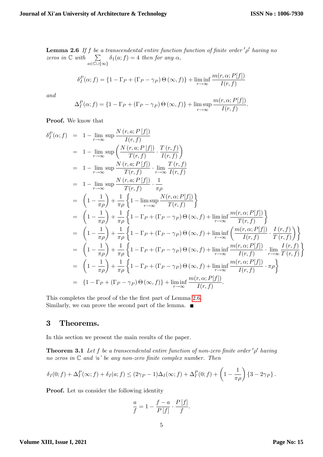:

**Lemma 2.6** If f be a transcendental entire function function of finite order  $'\rho'$  having no zeros in  $\mathbb C$  with  $\sum$  $a \in \mathbb{C} \cup \{\infty\}$  $\delta_1(a; f) = 4$  then for any  $\alpha$ ,

$$
\delta_I^P(\alpha; f) = \{1 - \Gamma_P + (\Gamma_P - \gamma_P) \Theta(\infty, f)\} + \liminf_{r \to \infty} \frac{m(r, \alpha; P[f])}{I(r, f)}
$$

and

$$
\Delta_I^P(\alpha; f) = \{1 - \Gamma_P + (\Gamma_P - \gamma_P) \Theta(\infty, f)\} + \limsup_{r \to \infty} \frac{m(r, \alpha; P[f])}{I(r, f)}
$$

Proof. We know that

$$
\delta_I^P(\alpha; f) = 1 - \lim_{r \to \infty} \sup \frac{N(r, a; P[f])}{I(r, f)}
$$
\n
$$
= 1 - \lim_{r \to \infty} \sup \frac{N(r, a; P[f])}{T(r, f)} \cdot \frac{T(r, f)}{I(r, f)} \right)
$$
\n
$$
= 1 - \lim_{r \to \infty} \sup \frac{N(r, a; P[f])}{T(r, f)} \cdot \lim_{r \to \infty} \frac{T(r, f)}{I(r, f)}
$$
\n
$$
= 1 - \lim_{r \to \infty} \sup \frac{N(r, a; P[f])}{T(r, f)} \cdot \frac{1}{\pi \rho}
$$
\n
$$
= \left(1 - \frac{1}{\pi \rho}\right) + \frac{1}{\pi \rho} \left\{1 - \limsup_{r \to \infty} \frac{N(r, \alpha; P[f])}{T(r, f)}\right\}
$$
\n
$$
= \left(1 - \frac{1}{\pi \rho}\right) + \frac{1}{\pi \rho} \left\{1 - \Gamma_P + (\Gamma_P - \gamma_P) \Theta(\infty, f) + \liminf_{r \to \infty} \frac{m(r, \alpha; P[f])}{T(r, f)}\right\}
$$
\n
$$
= \left(1 - \frac{1}{\pi \rho}\right) + \frac{1}{\pi \rho} \left\{1 - \Gamma_P + (\Gamma_P - \gamma_P) \Theta(\infty, f) + \liminf_{r \to \infty} \frac{m(r, \alpha; P[f])}{T(r, f)} \cdot \frac{I(r, f)}{T(r, f)}\right\}
$$
\n
$$
= \left(1 - \frac{1}{\pi \rho}\right) + \frac{1}{\pi \rho} \left\{1 - \Gamma_P + (\Gamma_P - \gamma_P) \Theta(\infty, f) + \liminf_{r \to \infty} \frac{m(r, \alpha; P[f])}{I(r, f)} \cdot \lim_{r \to \infty} \frac{I(r, f)}{T(r, f)}\right\}
$$
\n
$$
= \left(1 - \frac{1}{\pi \rho}\right) + \frac{1}{\pi \rho} \left\{1 - \Gamma_P + (\Gamma_P - \gamma_P) \Theta(\infty, f) + \liminf_{r \to \infty} \frac{m(r, \alpha; P[f])}{I(r, f)} \cdot \pi \rho\right\}
$$
\n
$$
= \left(1 - \Gamma_P +
$$

This completes the proof of the the first part of Lemma [2.6.](#page-3-1) Similarly, we can prove the second part of the lemma.  $\blacksquare$ 

## 3 Theorems.

<span id="page-4-0"></span>In this section we present the main results of the paper.

**Theorem 3.1** Let f be a transcendental entire function of non-zero finite order  $'\rho'$  having no zeros in  $\mathbb C$  and 'a' be any non-zero finite complex number. Then

$$
\delta_I(0; f) + \Delta_I^P(\infty; f) + \delta_I(a; f) \leq (2\gamma_P - 1)\Delta_I(\infty; f) + \Delta_I^P(0; f) + \left(1 - \frac{1}{\pi \rho}\right) \left\{3 - 2\gamma_P\right\}.
$$

Proof. Let us consider the following identity

$$
\frac{a}{f} = 1 - \frac{f-a}{P[f]} \cdot \frac{P[f]}{f}.
$$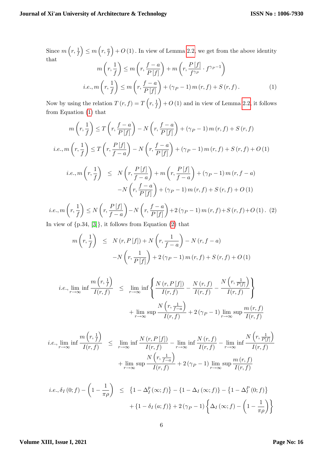Since  $m\left(r, \frac{1}{f}\right)$  $\Big) \leq m\left(r, \frac{a}{f}\right)$  $+ O(1)$ . In view of Lemma [2.2,](#page-2-0) we get from the above identity that

<span id="page-5-0"></span>
$$
m\left(r, \frac{1}{f}\right) \le m\left(r, \frac{f-a}{P[f]}\right) + m\left(r, \frac{P[f]}{f^{\gamma_P}} \cdot f^{\gamma_P - 1}\right)
$$
  
*i.e.*,  $m\left(r, \frac{1}{f}\right) \le m\left(r, \frac{f-a}{P[f]}\right) + (\gamma_P - 1) m(r, f) + S(r, f).$  (1)

Now by using the relation  $T(r, f) = T\left(r, \frac{1}{f}\right)$  $+ O(1)$  and in view of Lemma [2.2,](#page-2-0) it follows from Equation [\(1\)](#page-5-0) that

$$
m\left(r, \frac{1}{f}\right) \le T\left(r, \frac{f-a}{P[f]}\right) - N\left(r, \frac{f-a}{P[f]}\right) + (\gamma_P - 1) m(r, f) + S(r, f)
$$
  
\ni.e.,  $m\left(r, \frac{1}{f}\right) \le T\left(r, \frac{P[f]}{f-a}\right) - N\left(r, \frac{f-a}{P[f]}\right) + (\gamma_P - 1) m(r, f) + S(r, f) + O(1)$   
\ni.e.,  $m\left(r, \frac{1}{f}\right) \le N\left(r, \frac{P[f]}{f-a}\right) + m\left(r, \frac{P[f]}{f-a}\right) + (\gamma_P - 1) m(r, f - a)$   
\n
$$
-N\left(r, \frac{f-a}{P[f]}\right) + (\gamma_P - 1) m(r, f) + S(r, f) + O(1)
$$
  
\ni.e.,  $m\left(r, \frac{1}{f}\right) \le N\left(r, \frac{P[f]}{f-a}\right) - N\left(r, \frac{f-a}{P[f]} + 2(\gamma_P - 1) m(r, f) + S(r, f) + O(1)$ . (2)

<span id="page-5-1"></span>f  $\leq N$  $f - a$  $-N$  $P[f]$  $+2(\gamma_P-1) m(r, f)+S(r, f)+O(1)$ . (2)

In view of  $\{p.34, [3]\}$  $\{p.34, [3]\}$  $\{p.34, [3]\}$ , it follows from Equation  $(2)$  that

$$
m\left(r, \frac{1}{f}\right) \leq N(r, P[f]) + N\left(r, \frac{1}{f-a}\right) - N(r, f-a)
$$

$$
-N\left(r, \frac{1}{P[f]}\right) + 2(\gamma_P - 1) m(r, f) + S(r, f) + O(1)
$$

$$
i.e., \lim_{r \to \infty} \inf \frac{m(r, \frac{1}{f})}{I(r, f)} \leq \lim_{r \to \infty} \inf \left\{ \frac{N(r, P[f])}{I(r, f)} - \frac{N(r, f)}{I(r, f)} - \frac{N(r, \frac{1}{P[f]})}{I(r, f)} \right\}
$$

$$
+ \lim_{r \to \infty} \sup \frac{N(r, \frac{1}{f-a})}{I(r, f)} + 2(\gamma_P - 1) \lim_{r \to \infty} \sup \frac{m(r, f)}{I(r, f)}
$$

$$
i.e., \lim_{r \to \infty} \inf \frac{m(r, \frac{1}{f})}{I(r, f)} \leq \lim_{r \to \infty} \inf \frac{N(r, P[f])}{I(r, f)} - \lim_{r \to \infty} \inf \frac{N(r, f)}{I(r, f)} - \lim_{r \to \infty} \inf \frac{N(r, \frac{1}{P[f]})}{I(r, f)} + \lim_{r \to \infty} \sup \frac{N(r, \frac{1}{f-a})}{I(r, f)} + 2(\gamma_P - 1) \lim_{r \to \infty} \sup \frac{m(r, f)}{I(r, f)}
$$

$$
i.e., \delta_I(0; f) - \left(1 - \frac{1}{\pi \rho}\right) \le \left\{1 - \Delta_I^p(\infty; f)\right\} - \left\{1 - \Delta_I(\infty; f)\right\} - \left\{1 - \Delta_I^P(0; f)\right\} + \left\{1 - \delta_I(a; f)\right\} + 2\left(\gamma_P - 1\right)\left\{\Delta_I(\infty; f) - \left(1 - \frac{1}{\pi \rho}\right)\right\}
$$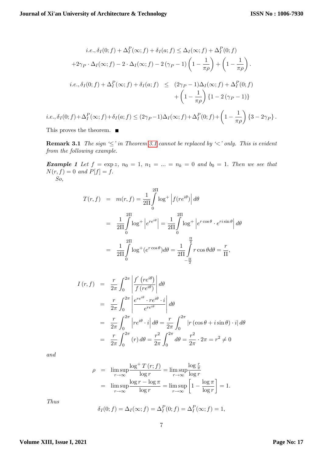$$
i.e., \delta_I(0; f) + \Delta_I^P(\infty; f) + \delta_I(a; f) \leq \Delta_I(\infty; f) + \Delta_I^P(0; f)
$$
  
+2 $\gamma_P \cdot \Delta_I(\infty; f) - 2 \cdot \Delta_I(\infty; f) - 2(\gamma_P - 1) \left(1 - \frac{1}{\pi \rho}\right) + \left(1 - \frac{1}{\pi \rho}\right).$   

$$
i.e., \delta_I(0; f) + \Delta_I^P(\infty; f) + \delta_I(a; f) \leq (2\gamma_P - 1)\Delta_I(\infty; f) + \Delta_I^P(0; f)
$$
  
+ 
$$
\left(1 - \frac{1}{\pi \rho}\right) \{1 - 2(\gamma_P - 1)\}
$$
  

$$
i.e., \delta_I(0; f) + \Delta_I^P(\infty; f) + \delta_I(a; f) \leq (2\gamma_P - 1)\Delta_I(\infty; f) + \Delta_I^P(0; f) + \left(1 - \frac{1}{\pi \rho}\right) \{3 - 2\gamma_P\}.
$$

This proves the theorem. ■

**Remark [3.1](#page-4-0)** The sign  $\leq$  in Theorem 3.1 cannot be replaced by  $\leq$  only. This is evident from the following example.

**Example 1** Let  $f = \exp z$ ,  $n_0 = 1$ ,  $n_1 = ... = n_k = 0$  and  $b_0 = 1$ . Then we see that  $N(r, f) = 0$  and  $P[f] = f$ . So,

$$
T(r, f) = m(r, f) = \frac{1}{2\Pi} \int_{0}^{2\Pi} \log^{+} |f(re^{i\theta})| d\theta
$$
  

$$
= \frac{1}{2\Pi} \int_{0}^{2\Pi} \log^{+} |e^{re^{i\theta}}| = \frac{1}{2\Pi} \int_{0}^{2\Pi} \log^{+} |e^{r\cos\theta} \cdot e^{r i \sin\theta}| d\theta
$$
  

$$
= \frac{1}{2\Pi} \int_{0}^{2\Pi} \log^{+} (e^{r\cos\theta}) d\theta = \frac{1}{2\Pi} \int_{-\frac{\Pi}{2}}^{\frac{\Pi}{2}} r \cos\theta d\theta = \frac{r}{\Pi},
$$

$$
I(r, f) = \frac{r}{2\pi} \int_0^{2\pi} \left| \frac{f'(re^{i\theta})}{f(re^{i\theta})} \right| d\theta
$$
  
\n
$$
= \frac{r}{2\pi} \int_0^{2\pi} \left| \frac{e^{re^{i\theta}} \cdot re^{i\theta} \cdot i}{e^{re^{i\theta}}} \right| d\theta
$$
  
\n
$$
= \frac{r}{2\pi} \int_0^{2\pi} \left| re^{i\theta} \cdot i \right| d\theta = \frac{r}{2\pi} \int_0^{2\pi} \left| r (\cos \theta + i \sin \theta) \cdot i \right| d\theta
$$
  
\n
$$
= \frac{r}{2\pi} \int_0^{2\pi} (r) d\theta = \frac{r^2}{2\pi} \int_0^{2\pi} d\theta = \frac{r^2}{2\pi} \cdot 2\pi = r^2 \neq 0
$$

and

$$
\rho = \limsup_{r \to \infty} \frac{\log^+ T(r; f)}{\log r} = \limsup_{r \to \infty} \frac{\log \frac{r}{\pi}}{\log r}
$$
  
= 
$$
\limsup_{r \to \infty} \frac{\log r - \log \pi}{\log r} = \limsup_{r \to \infty} \left[ 1 - \frac{\log \pi}{\log r} \right] = 1.
$$

Thus

$$
\delta_I(0; f) = \Delta_I(\infty; f) = \Delta_I^P(0; f) = \Delta_I^P(\infty; f) = 1,
$$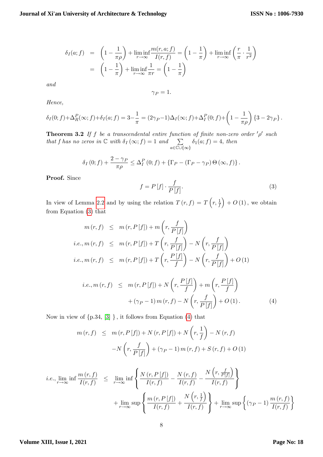$$
\delta_I(a; f) = \left(1 - \frac{1}{\pi \rho}\right) + \liminf_{r \to \infty} \frac{m(r, a; f)}{I(r, f)} = \left(1 - \frac{1}{\pi}\right) + \liminf_{r \to \infty} \left(\frac{r}{\pi} \cdot \frac{1}{r^2}\right)
$$

$$
= \left(1 - \frac{1}{\pi}\right) + \liminf_{r \to \infty} \frac{1}{\pi r} = \left(1 - \frac{1}{\pi}\right)
$$

and

 $\gamma_P = 1.$ 

Hence,

$$
\delta_I(0; f) + \Delta_R^P(\infty; f) + \delta_I(a; f) = 3 - \frac{1}{\pi} = (2\gamma_P - 1)\Delta_I(\infty; f) + \Delta_I^P(0; f) + \left(1 - \frac{1}{\pi \rho}\right) \{3 - 2\gamma_P\}.
$$

<span id="page-7-2"></span>**Theorem 3.2** If f be a transcendental entire function of finite non-zero order  $'\rho'$  such that f has no zeros in  $\mathbb C$  with  $\delta_I(\infty; f) = 1$  and  $\sum_{\infty}$  $a \in \mathbb{C} \cup \{\infty\}$  $\delta_1(a; f) = 4$ , then

$$
\delta_I(0; f) + \frac{2-\gamma_P}{\pi \rho} \leq \Delta_I^P(0; f) + \left\{ \Gamma_P - (\Gamma_P - \gamma_P) \Theta(\infty, f) \right\}.
$$

Proof. Since

<span id="page-7-0"></span>
$$
f = P[f] \cdot \frac{f}{P[f]}.\tag{3}
$$

In view of Lemma [2.2](#page-2-0) and by using the relation  $T(r, f) = T(r, \frac{1}{f})$  $+ O(1)$ , we obtain from Equation [\(3\)](#page-7-0) that

$$
m(r, f) \leq m(r, P[f]) + m\left(r, \frac{f}{P[f]}\right)
$$
  
\n*i.e.,*  $m(r, f) \leq m(r, P[f]) + T\left(r, \frac{f}{P[f]}\right) - N\left(r, \frac{f}{P[f]}\right)$   
\n*i.e.,*  $m(r, f) \leq m(r, P[f]) + T\left(r, \frac{P[f]}{f}\right) - N\left(r, \frac{f}{P[f]}\right) + O(1)$ 

<span id="page-7-1"></span>
$$
i.e., m(r, f) \leq m(r, P[f]) + N\left(r, \frac{P[f]}{f}\right) + m\left(r, \frac{P[f]}{f}\right) + (\gamma_P - 1) m(r, f) - N\left(r, \frac{f}{P[f]}\right) + O(1).
$$
\n(4)

Now in view of  ${p.34, [3]}$  ${p.34, [3]}$  ${p.34, [3]}$ , it follows from Equation [\(4\)](#page-7-1) that

$$
m(r, f) \leq m(r, P[f]) + N(r, P[f]) + N\left(r, \frac{1}{f}\right) - N(r, f)
$$

$$
-N\left(r, \frac{f}{P[f]}\right) + (\gamma_P - 1) m(r, f) + S(r, f) + O(1)
$$

$$
i.e., \lim_{r \to \infty} \inf \frac{m(r, f)}{I(r, f)} \leq \lim_{r \to \infty} \inf \left\{ \frac{N(r, P[f])}{I(r, f)} - \frac{N(r, f)}{I(r, f)} - \frac{N(r, \frac{f}{P[f]})}{I(r, f)} \right\}
$$

$$
+ \lim_{r \to \infty} \sup \left\{ \frac{m(r, P[f])}{I(r, f)} + \frac{N(r, \frac{1}{f})}{I(r, f)} \right\} + \lim_{r \to \infty} \sup \left\{ (\gamma_P - 1) \frac{m(r, f)}{I(r, f)} \right\}
$$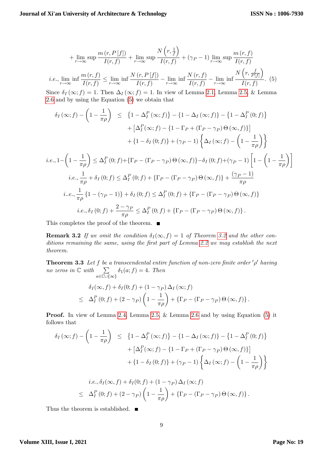$$
+\lim_{r\to\infty} \sup \frac{m(r, P[f])}{I(r, f)} + \lim_{r\to\infty} \sup \frac{N(r, \frac{1}{f})}{I(r, f)} + (\gamma_P - 1) \lim_{r\to\infty} \sup \frac{m(r, f)}{I(r, f)}
$$
  
*i.e.*,  $\lim_{r\to\infty} \inf \frac{m(r, f)}{I(r, f)} \le \lim_{r\to\infty} \inf \frac{N(r, P[f])}{I(r, f)} - \lim_{r\to\infty} \inf \frac{N(r, f)}{I(r, f)} - \lim_{r\to\infty} \inf \frac{N(r, \frac{f}{P[f]})}{I(r, f)}$ . (5)

<span id="page-8-0"></span>Since  $\delta_I(\infty; f) = 1$ . Then  $\Delta_I(\infty; f) = 1$ . In view of Lemma [2.1,](#page-2-1) Lemma [2.5,](#page-3-0) & Lemma [2.6](#page-3-1) and by using the Equation [\(5\)](#page-8-0) we obtain that

$$
\delta_I(\infty; f) - \left(1 - \frac{1}{\pi \rho}\right) \leq \left\{1 - \Delta_I^P(\infty; f)\right\} - \left\{1 - \Delta_I(\infty; f)\right\} - \left\{1 - \Delta_I^P(0; f)\right\} \n+ \left[\Delta_I^P(\infty; f) - \left\{1 - \Gamma_P + (\Gamma_P - \gamma_P)\Theta(\infty, f)\right\}\right] \n+ \left\{1 - \delta_I(0; f)\right\} + (\gamma_P - 1) \left\{\Delta_I(\infty; f) - \left(1 - \frac{1}{\pi \rho}\right)\right\} \ni.e., 1 - \left(1 - \frac{1}{\pi \rho}\right) \leq \Delta_I^P(0; f) + \left\{\Gamma_P - (\Gamma_P - \gamma_P)\Theta(\infty, f)\right\} - \delta_I(0; f) + (\gamma_P - 1) \left[1 - \left(1 - \frac{1}{\pi \rho}\right)\right] \ni.e., \frac{1}{\pi \rho} + \delta_I(0; f) \leq \Delta_I^P(0; f) + \left\{\Gamma_P - (\Gamma_P - \gamma_P)\Theta(\infty, f)\right\} + \frac{(\gamma_P - 1)}{\pi \rho} \ni.e., \frac{1}{\pi \rho} \left\{1 - (\gamma_P - 1)\right\} + \delta_I(0; f) \leq \Delta_I^P(0; f) + \left\{\Gamma_P - (\Gamma_P - \gamma_P)\Theta(\infty, f)\right\} \ni.e., \delta_I(0; f) + \frac{2 - \gamma_P}{\pi \rho} \leq \Delta_I^P(0; f) + \left\{\Gamma_P - (\Gamma_P - \gamma_P)\Theta(\infty, f)\right\}.
$$

This completes the proof of the theorem.  $\blacksquare$ 

**Remark [3.2](#page-7-2)** If we omit the condition  $\delta_I(\infty, f) = 1$  of Theorem 3.2 and the other con-ditions remaining the same, using the first part of Lemma [2.2](#page-2-0) we may establish the next theorem.

**Theorem 3.3** Let f be a transcendental entire function of non-zero finite order  $'\rho'$  having no zeros in  $\mathbb C$  with  $\sum$  $a \in \mathbb{C} \cup \{\infty\}$  $\delta_1(a; f) = 4.$  Then

$$
\delta_I(\infty, f) + \delta_I(0; f) + (1 - \gamma_P) \Delta_I(\infty; f)
$$
  
\n
$$
\leq \Delta_I^P(0; f) + (2 - \gamma_P) \left(1 - \frac{1}{\pi \rho}\right) + \{\Gamma_P - (\Gamma_P - \gamma_P) \Theta(\infty, f)\}.
$$

Proof. In view of Lemma [2.4,](#page-3-2) Lemma [2.5,](#page-3-0) & Lemma [2.6](#page-3-1) and by using Equation [\(5\)](#page-8-0) it follows that

$$
\delta_I(\infty; f) - \left(1 - \frac{1}{\pi \rho}\right) \le \left\{1 - \Delta_I^P(\infty; f)\right\} - \left\{1 - \Delta_I(\infty; f)\right\} - \left\{1 - \Delta_I^P(0; f)\right\} \n+ \left[\Delta_I^P(\infty; f) - \left\{1 - \Gamma_P + (\Gamma_P - \gamma_P) \Theta(\infty, f)\right\}\right] \n+ \left\{1 - \delta_I(0; f)\right\} + (\gamma_P - 1) \left\{\Delta_I(\infty; f) - \left(1 - \frac{1}{\pi \rho}\right)\right\}
$$

$$
i.e., \delta_I(\infty, f) + \delta_I(0; f) + (1 - \gamma_P) \Delta_I(\infty; f)
$$
  

$$
\leq \Delta_I^P(0; f) + (2 - \gamma_P) \left(1 - \frac{1}{\pi \rho}\right) + \{\Gamma_P - (\Gamma_P - \gamma_P) \Theta(\infty, f)\}.
$$

<span id="page-8-1"></span>Thus the theorem is established.  $\blacksquare$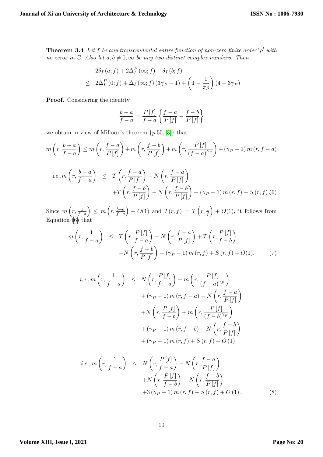**Theorem 3.4** Let f be any transcendental entire function of non-zero finite order  $'\rho'$  with no zeros in  $\mathbb C$ . Also let  $a, b \neq 0, \infty$  be any two distinct complex numbers. Then

$$
2\delta_I(a; f) + 2\Delta_I^P(\infty; f) + \delta_I(b; f)
$$
  
\n
$$
\leq 2\Delta_I^P(0; f) + \Delta_I(\infty; f) (3\gamma_P - 1) + \left(1 - \frac{1}{\pi \rho}\right) (4 - 3\gamma_P).
$$

Proof. Considering the identity

$$
\frac{b-a}{f-a} = \frac{P[f]}{f-a} \left\{ \frac{f-a}{P[f]} - \frac{f-b}{P[f]} \right\}
$$

we obtain in view of Milloux's theorem  $\{p.55, [3]\}$  $\{p.55, [3]\}$  $\{p.55, [3]\}$  that

$$
m\left(r, \frac{b-a}{f-a}\right) \le m\left(r, \frac{f-a}{P[f]}\right) + m\left(r, \frac{f-b}{P[f]}\right) + m\left(r, \frac{P[f]}{(f-a)^{\gamma_P}}\right) + (\gamma_P - 1) m(r, f-a)
$$
  
i.e.,
$$
m\left(r, \frac{b-a}{f-a}\right) \le T\left(r, \frac{f-a}{P[f]}\right) - N\left(r, \frac{f-a}{P[f]}\right)
$$

$$
+T\left(r, \frac{f-b}{P[f]}\right) - N\left(r, \frac{f-b}{P[f]}\right) + (\gamma_P - 1) m(r, f) + S(r, f) (6)
$$

<span id="page-9-0"></span>Since  $m\left(r, \frac{1}{f-a}\right)$  $\Big) \leq m \left( r , \frac{b-a}{f-a} \right)$  $\Big\} + O(1)$  and  $T(r, f) = T\left(r, \frac{1}{f}\right)$  $+ O(1)$ , it follows from Equation  $(6)$  that

$$
m\left(r, \frac{1}{f-a}\right) \leq T\left(r, \frac{P[f]}{f-a}\right) - N\left(r, \frac{f-a}{P[f]}\right) + T\left(r, \frac{P[f]}{f-b}\right)
$$

$$
-N\left(r, \frac{f-b}{P[f]}\right) + (\gamma_P - 1) m(r, f) + S(r, f) + O(1). \tag{7}
$$

$$
i.e., m\left(r, \frac{1}{f-a}\right) \le N\left(r, \frac{P[f]}{f-a}\right) + m\left(r, \frac{P[f]}{(f-a)^{\gamma_P}}\right)
$$

$$
+ (\gamma_P - 1) m(r, f-a) - N\left(r, \frac{f-a}{P[f]}\right)
$$

$$
+ N\left(r, \frac{P[f]}{f-b}\right) + m\left(r, \frac{P[f]}{(f-b)^{\gamma_P}}\right)
$$

$$
+ (\gamma_P - 1) m(r, f-b) - N\left(r, \frac{f-b}{P[f]}\right)
$$

$$
+ (\gamma_P - 1) m(r, f) + S(r, f) + O(1)
$$

<span id="page-9-1"></span>
$$
i.e., m\left(r, \frac{1}{f-a}\right) \leq N\left(r, \frac{P[f]}{f-a}\right) - N\left(r, \frac{f-a}{P[f]}\right)
$$

$$
+ N\left(r, \frac{P[f]}{f-b}\right) - N\left(r, \frac{f-b}{P[f]}\right)
$$

$$
+ 3\left(\gamma_P - 1\right)m\left(r, f\right) + S\left(r, f\right) + O\left(1\right). \tag{8}
$$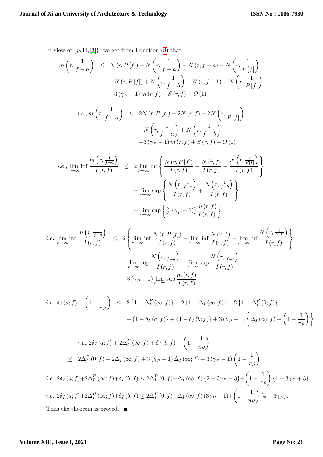In view of  $\{p.34, [3]\}$  $\{p.34, [3]\}$  $\{p.34, [3]\}$ , we get from Equation [\(8\)](#page-9-1) that

$$
m\left(r, \frac{1}{f-a}\right) \leq N\left(r, P\left[f\right]\right) + N\left(r, \frac{1}{f-a}\right) - N\left(r, f-a\right) - N\left(r, \frac{1}{P\left[f\right]}\right) + N\left(r, P\left[f\right]\right) + N\left(r, \frac{1}{f-b}\right) - N\left(r, f-b\right) - N\left(r, \frac{1}{P\left[f\right]}\right) + 3\left(\gamma_P - 1\right)m\left(r, f\right) + S\left(r, f\right) + O\left(1\right) i.e., m\left(r, \frac{1}{f-a}\right) \leq 2N\left(r, P\left[f\right]\right) - 2N\left(r, f\right) - 2N\left(r, \frac{1}{P\left[f\right]}\right) + N\left(r, \frac{1}{f-a}\right) + N\left(r, \frac{1}{f-b}\right) + 3\left(\gamma_P - 1\right)m\left(r, f\right) + S\left(r, f\right) + O\left(1\right)
$$
   
*i.e.*,  $\lim_{r \to \infty} \inf \frac{m\left(r, \frac{1}{f-a}\right)}{I\left(r, f\right)} \leq 2 \lim_{r \to \infty} \inf \left\{\frac{N\left(r, P\left[f\right]\right)}{I\left(r, f\right)} - \frac{N\left(r, f\right)}{I\left(r, f\right)} - \frac{N\left(r, \frac{1}{P\left[f\right]}\right)}{I\left(r, f\right)}\right\} + \lim_{r \to \infty} \sup \left\{\frac{N\left(r, \frac{1}{f-a}\right)}{I\left(r, f\right)} + \frac{N\left(r, \frac{1}{f-b}\right)}{I\left(r, f\right)}\right\} + \lim_{r \to \infty} \sup \left\{\frac{3\left(\gamma_P - 1\right)\left|\frac{m\left(r, f\right)}{I\left(r, f\right)}\right|}{I\left(r, f\right)}\right\}$ 

$$
i.e., \lim_{r \to \infty} \inf \frac{m(r, \frac{1}{f-a})}{I(r, f)} \le 2 \left\{ \lim_{r \to \infty} \inf \frac{N(r, P[f])}{I(r, f)} - \lim_{r \to \infty} \inf \frac{N(r, f)}{I(r, f)} - \lim_{r \to \infty} \inf \frac{N(r, \frac{1}{P[f]})}{I(r, f)} \right\}
$$

$$
+ \lim_{r \to \infty} \sup \frac{N(r, \frac{1}{f-a})}{I(r, f)} + \lim_{r \to \infty} \sup \frac{N(r, \frac{1}{f-b})}{I(r, f)}
$$

$$
+ 3(\gamma_P - 1) \lim_{r \to \infty} \sup \frac{m(r, f)}{I(r, f)}
$$

$$
i.e., \delta_I(a; f) - \left(1 - \frac{1}{\pi \rho}\right) \le 2\left\{1 - \Delta_I^P(\infty; f)\right\} - 2\left\{1 - \Delta_I(\infty; f)\right\} - 2\left\{1 - \Delta_I^P(0; f)\right\} + \left\{1 - \delta_I(a; f)\right\} + \left\{1 - \delta_I(b; f)\right\} + 3(\gamma_P - 1)\left\{\Delta_I(\infty; f) - \left(1 - \frac{1}{\pi \rho}\right)\right\}
$$

$$
i.e., 2\delta_I(a; f) + 2\Delta_I^P(\infty; f) + \delta_I(b; f) - \left(1 - \frac{1}{\pi \rho}\right)
$$
  
\n
$$
\leq 2\Delta_I^P(0; f) + 2\Delta_I(\infty; f) + 3(\gamma_P - 1)\Delta_I(\infty; f) - 3(\gamma_P - 1)\left(1 - \frac{1}{\pi \rho}\right)
$$
  
\n
$$
i.e., 2\delta_I(a; f) + 2\Delta_I^P(\infty; f) + \delta_I(b; f) \leq 2\Delta_I^P(0; f) + \Delta_I(\infty; f) \{2 + 3\gamma_P - 3\} + \left(1 - \frac{1}{\pi \rho}\right) \{1 - 3\gamma_P + 3\}
$$
  
\n
$$
i.e., 2\delta_I(a; f) + 2\Delta_I^P(\infty; f) + \delta_I(b; f) \leq 2\Delta_I^P(0; f) + \Delta_I(\infty; f) (3\gamma_P - 1) + \left(1 - \frac{1}{\pi \rho}\right) (4 - 3\gamma_P).
$$
  
\nThus the theorem is proved.

11

#### **Volume XIII, Issue I, 2021**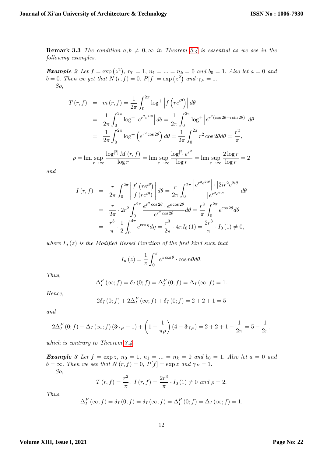**Remark 3.3** The condition  $a, b \neq 0, \infty$  in Theorem [3.4](#page-8-1) is essential as we see in the following examples.

**Example 2** Let  $f = \exp(z^2)$ ,  $n_0 = 1$ ,  $n_1 = ... = n_k = 0$  and  $b_0 = 1$ . Also let  $a = 0$  and  $b = 0$ . Then we get that  $N(r, f) = 0$ ,  $P[f] = \exp(z^2)$  and  $\gamma_P = 1$ . So,

$$
T(r, f) = m(r, f) = \frac{1}{2\pi} \int_0^{2\pi} \log^+ \left| f\left(re^{i\theta}\right) \right| d\theta
$$
  
\n
$$
= \frac{1}{2\pi} \int_0^{2\pi} \log^+ \left| e^{r^2 e^{2i\theta}} \right| d\theta = \frac{1}{2\pi} \int_0^{2\pi} \log^+ \left| e^{r^2 (\cos 2\theta + i \sin 2\theta)} \right| d\theta
$$
  
\n
$$
= \frac{1}{2\pi} \int_0^{2\pi} \log^+ \left( e^{r^2 \cos 2\theta} \right) d\theta = \frac{1}{2\pi} \int_0^{2\pi} r^2 \cos 2\theta d\theta = \frac{r^2}{\pi},
$$
  
\n
$$
\rho = \limsup_{r \to \infty} \frac{\log^{[2]} M(r, f)}{\log r} = \limsup_{r \to \infty} \frac{\log^{[2]} e^{r^2}}{\log r} = \limsup_{r \to \infty} \frac{2 \log r}{\log r} = 2
$$

and

$$
I(r, f) = \frac{r}{2\pi} \int_0^{2\pi} \left| \frac{f'(re^{i\theta})}{f(re^{i\theta})} \right| d\theta = \frac{r}{2\pi} \int_0^{2\pi} \frac{\left| e^{r^2 e^{2i\theta}} \right| \cdot \left| 2ir^2 e^{2i\theta} \right|}{\left| e^{r^2 e^{2i\theta}} \right|} d\theta
$$
  

$$
= \frac{r}{2\pi} \cdot 2r^2 \int_0^{2\pi} \frac{e^{r^2 \cos 2\theta} \cdot e^{c \cos 2\theta}}{e^{r^2 \cos 2\theta}} d\theta = \frac{r^3}{\pi} \int_0^{2\pi} e^{\cos 2\theta} d\theta
$$
  

$$
= \frac{r^3}{\pi} \cdot \frac{1}{2} \int_0^{4\pi} e^{\cos \eta} d\eta = \frac{r^3}{2\pi} \cdot 4\pi I_0 (1) = \frac{2r^3}{\pi} \cdot I_0 (1) \neq 0,
$$

where  $I_n(z)$  is the Modified Bessel Function of the first kind such that

$$
I_n(z) = \frac{1}{\pi} \int_0^{\pi} e^{z \cos \theta} \cdot \cos n\theta d\theta.
$$

Thus,

$$
\Delta_I^P(\infty; f) = \delta_I(0; f) = \Delta_I^P(0; f) = \Delta_I(\infty; f) = 1.
$$

Hence,

$$
2\delta_I(0; f) + 2\Delta_I^P(\infty; f) + \delta_I(0; f) = 2 + 2 + 1 = 5
$$

and

$$
2\Delta_I^P(0; f) + \Delta_I(\infty; f) (3\gamma_P - 1) + \left(1 - \frac{1}{\pi \rho}\right)(4 - 3\gamma_P) = 2 + 2 + 1 - \frac{1}{2\pi} = 5 - \frac{1}{2\pi},
$$

which is contrary to Theorem [3.4.](#page-8-1)

**Example 3** Let  $f = \exp z$ ,  $n_0 = 1$ ,  $n_1 = ... = n_k = 0$  and  $b_0 = 1$ . Also let  $a = 0$  and  $\overline{b} = \infty$ . Then we see that  $N(r, f) = 0$ ,  $P[f] = \exp z$  and  $\gamma_P = 1$ .

So,

$$
T(r, f) = \frac{r^2}{\pi}
$$
,  $I(r, f) = \frac{2r^3}{\pi} \cdot I_0(1) \neq 0$  and  $\rho = 2$ .

Thus,

$$
\Delta_I^P(\infty; f) = \delta_I(0; f) = \delta_I(\infty; f) = \Delta_I^P(0; f) = \Delta_I(\infty; f) = 1.
$$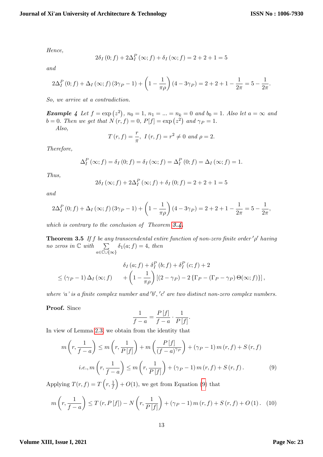Hence,

$$
2\delta_I(0; f) + 2\Delta_I^P(\infty; f) + \delta_I(\infty; f) = 2 + 2 + 1 = 5
$$

and

$$
2\Delta_I^P(0; f) + \Delta_I(\infty; f) (3\gamma_P - 1) + \left(1 - \frac{1}{\pi \rho}\right)(4 - 3\gamma_P) = 2 + 2 + 1 - \frac{1}{2\pi} = 5 - \frac{1}{2\pi}.
$$

So, we arrive at a contradiction.

**Example 4** Let  $f = \exp(z^2)$ ,  $n_0 = 1$ ,  $n_1 = ... = n_k = 0$  and  $b_0 = 1$ . Also let  $a = \infty$  and  $b = 0$ . Then we get that  $N(r, f) = 0$ ,  $P[f] = \exp(z^2)$  and  $\gamma_P = 1$ .

Also,

$$
T(r, f) = \frac{r}{\pi}
$$
,  $I(r, f) = r^2 \neq 0$  and  $\rho = 2$ .

Therefore,

$$
\Delta_I^P(\infty; f) = \delta_I(0; f) = \delta_I(\infty; f) = \Delta_I^P(0; f) = \Delta_I(\infty; f) = 1.
$$

Thus,

$$
2\delta_I(\infty; f) + 2\Delta_I^P(\infty; f) + \delta_I(0; f) = 2 + 2 + 1 = 5
$$

and

$$
2\Delta_I^P(0; f) + \Delta_I(\infty; f) (3\gamma_P - 1) + \left(1 - \frac{1}{\pi \rho}\right)(4 - 3\gamma_P) = 2 + 2 + 1 - \frac{1}{2\pi} = 5 - \frac{1}{2\pi},
$$

which is contrary to the conclusion of Theorem  $3.4$ .

**Theorem 3.5** If f be any transcendental entire function of non-zero finite order  $'\rho'$  having no zeros in  $\mathbb C$  with  $\sum$  $a \in \mathbb{C} \cup \{\infty\}$  $\delta_1(a; f) = 4$ , then

$$
\delta_I (a; f) + \delta_I^P (b; f) + \delta_I^P (c; f) + 2
$$
  
\n
$$
\leq (\gamma_P - 1) \Delta_I (\infty; f) + \left(1 - \frac{1}{\pi \rho}\right) \left[ (2 - \gamma_P) - 2 \left\{\Gamma_P - (\Gamma_P - \gamma_P) \Theta(\infty; f) \right\} \right],
$$

where 'a' is a finite complex number and 'b', 'c' are two distinct non-zero complex numbers.

Proof. Since

$$
\frac{1}{f-a} = \frac{P[f]}{f-a} \cdot \frac{1}{P[f]}.
$$

In view of Lemma [2.3,](#page-3-3) we obtain from the identity that

<span id="page-12-0"></span>
$$
m\left(r, \frac{1}{f-a}\right) \le m\left(r, \frac{1}{P\left[f\right]}\right) + m\left(\frac{P\left[f\right]}{(f-a)^{\gamma_P}}\right) + (\gamma_P - 1) m\left(r, f\right) + S\left(r, f\right)
$$
  
*i.e.*,  $m\left(r, \frac{1}{f-a}\right) \le m\left(r, \frac{1}{P\left[f\right]}\right) + (\gamma_P - 1) m\left(r, f\right) + S\left(r, f\right).$  (9)

Applying  $T(r, f) = T\left(r, \frac{1}{f}\right)$  $+ O(1)$ , we get from Equation [\(9\)](#page-12-0) that

<span id="page-12-1"></span>
$$
m\left(r, \frac{1}{f-a}\right) \le T(r, P[f]) - N\left(r, \frac{1}{P[f]}\right) + (\gamma_P - 1)m(r, f) + S(r, f) + O(1). \tag{10}
$$

#### **Volume XIII, Issue I, 2021**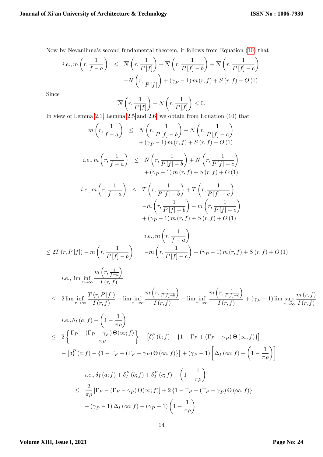Now by Nevanlinnaís second fundamental theorem, it follows from Equation [\(10\)](#page-12-1) that

$$
i.e., m\left(r, \frac{1}{f-a}\right) \leq \overline{N}\left(r, \frac{1}{P[f]}\right) + \overline{N}\left(r, \frac{1}{P[f]-b}\right) + \overline{N}\left(r, \frac{1}{P[f]-c}\right)
$$

$$
-N\left(r, \frac{1}{P[f]}\right) + (\gamma_P - 1) m(r, f) + S(r, f) + O(1).
$$

Since

$$
\overline{N}\left(r, \frac{1}{P[f]}\right) - N\left(r, \frac{1}{P[f]}\right) \le 0.
$$
\nThen 2.5 and 2.6, we obtain from Eq. (2.1)

In view of Lemma [2.1,](#page-2-1) Lemma [2.5](#page-3-0) and [2.6,](#page-3-1) we obtain from Equation [\(10\)](#page-12-1) that

$$
m\left(r, \frac{1}{f-a}\right) \leq \overline{N}\left(r, \frac{1}{P\left|f\right]-b}\right) + \overline{N}\left(r, \frac{1}{P\left|f\right]-c}\right) + (\gamma_P - 1)m(r, f) + S(r, f) + O(1) \ni.e., m\left(r, \frac{1}{f-a}\right) \leq N\left(r, \frac{1}{P\left|f\right]-b}\right) + N\left(r, \frac{1}{P\left|f\right|-c}\right) + (\gamma_P - 1)m(r, f) + S(r, f) + O(1) \ni.e., m\left(r, \frac{1}{f-a}\right) \leq T\left(r, \frac{1}{P\left|f\right]-b}\right) + T\left(r, \frac{1}{P\left|f\right|-c}\right) - m\left(r, \frac{1}{P\left|f\right]-b}\right) - m\left(r, \frac{1}{P\left|f\right|-c}\right) + (\gamma_P - 1)m(r, f) + S(r, f) + O(1) \ni.e., m\left(r, \frac{1}{f-a}\right) = \frac{m\left(r, \frac{1}{f-a}\right)}{r\left(r, \frac{1}{f-a}\right)} = \sum (r, P\left|f\right|) - m\left(r, \frac{1}{P\left|f\right]-b}\right) - m\left(r, \frac{1}{P\left|f\right]-c}\right) + (\gamma_P - 1)m(r, f) + S(r, f) + O(1) \ni.e., \liminf_{r \to \infty} \frac{m\left(r, \frac{1}{f-a}\right)}{I(r, f)} = \frac{2 \lim_{r \to \infty} \frac{m\left(r, \frac{1}{f-a}\right)}{I(r, f)} = \lim_{r \to \infty} \frac{m\left(r, \frac{1}{P\left|f\right|-c}\right)}{I(r, f)} - \lim_{r \to \infty} \frac{m\left(r, \frac{1}{P\left|f\right|-c}\right)}{I(r, f)} + (\gamma_P - 1) \lim \sup_{r \to \infty} \frac{m\left(r, f\right)}{I(r, f)} \ni.e.,  $\delta_I(a; f) - \left(1 - \frac{1}{\pi \rho}\right)$    
= 2 \left\{ \frac{\Gamma_P - (\Gamma_P - \gamma_P) \Theta(\infty; f)}{
$$

#### **Volume XIII, Issue I, 2021**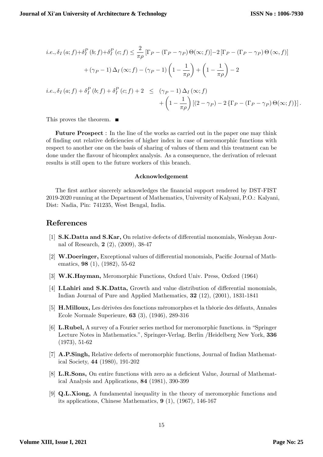$$
i.e., \delta_I(a; f) + \delta_I^P(b; f) + \delta_I^P(c; f) \le \frac{2}{\pi \rho} [\Gamma_P - (\Gamma_P - \gamma_P) \Theta(\infty; f)] - 2 [\Gamma_P - (\Gamma_P - \gamma_P) \Theta(\infty, f)]
$$

$$
+ (\gamma_P - 1) \Delta_I(\infty; f) - (\gamma_P - 1) \left(1 - \frac{1}{\pi \rho}\right) + \left(1 - \frac{1}{\pi \rho}\right) - 2
$$

$$
i.e., \delta_I(a; f) + \delta_I^P(b; f) + \delta_I^P(c; f) + 2 \le (\gamma_P - 1) \Delta_I(\infty; f)
$$

$$
+ \left(1 - \frac{1}{\pi \rho}\right) [(2 - \gamma_P) - 2\{\Gamma_P - (\Gamma_P - \gamma_P) \Theta(\infty; f)\}].
$$

This proves the theorem.

Future Prospect : In the line of the works as carried out in the paper one may think of finding out relative deficiencies of higher index in case of meromorphic functions with respect to another one on the basis of sharing of values of them and this treatment can be done under the áavour of bicomplex analysis. As a consequence, the derivation of relevant results is still open to the future workers of this branch.

#### Acknowledgement

The first author sincerely acknowledges the financial support rendered by DST-FIST 2019-2020 running at the Department of Mathematics, University of Kalyani, P.O.: Kalyani, Dist: Nadia, Pin: 741235, West Bengal, India.

## References

- <span id="page-14-7"></span>[1] **S.K.Datta and S.Kar,** On relative defects of differential monomials, Wesleyan Journal of Research, 2 (2), (2009), 38-47
- <span id="page-14-4"></span>[2] W.Doeringer, Exceptional values of differential monomials, Pacific Journal of Mathematics, 98 (1), (1982), 55-62
- <span id="page-14-0"></span>[3] W.K.Hayman, Meromorphic Functions, Oxford Univ. Press, Oxford (1964)
- <span id="page-14-6"></span>[4] **I.Lahiri and S.K.Datta,** Growth and value distribution of differential monomials, Indian Journal of Pure and Applied Mathematics, 32 (12), (2001), 1831-1841
- <span id="page-14-1"></span>[5] **H.Milloux,** Les dérivées des fonctions méromorphes et la théorie des défauts, Annales Ecole Normale Superieure, 63 (3), (1946), 289-316
- [6] **L.Rubel,** A survey of a Fourier series method for meromorphic functions. in "Springer" Lecture Notes in Mathematics.", Springer-Verlag. Berlin /Heidelberg New York, 336 (1973), 51-62
- <span id="page-14-3"></span>[7] A.P.Singh, Relative defects of meromorphic functions, Journal of Indian Mathematical Society, 44 (1980), 191-202
- <span id="page-14-5"></span>[8] L.R.Sons, On entire functions with zero as a deficient Value, Journal of Mathematical Analysis and Applications, 84 (1981), 390-399
- <span id="page-14-2"></span>[9] Q.L.Xiong, A fundamental inequality in the theory of meromorphic functions and its applications, Chinese Mathematics, 9 (1), (1967), 146-167